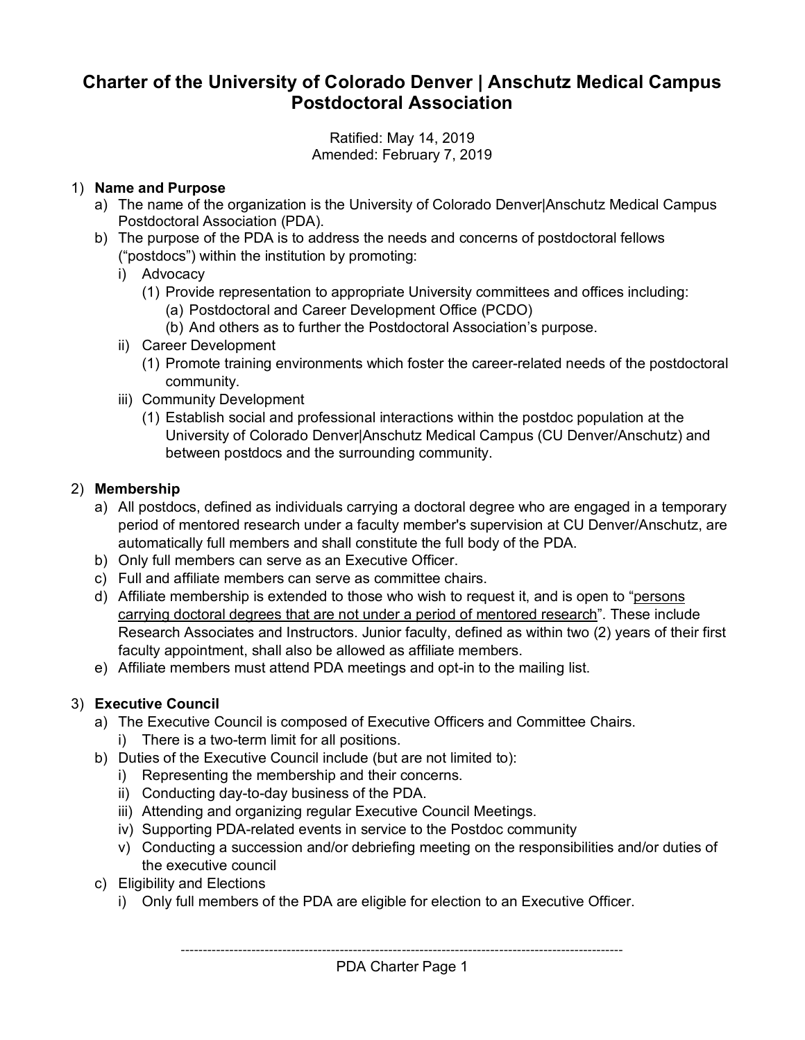# **Charter of the University of Colorado Denver | Anschutz Medical Campus Postdoctoral Association**

Ratified: May 14, 2019 Amended: February 7, 2019

#### 1) **Name and Purpose**

- a) The name of the organization is the University of Colorado Denver|Anschutz Medical Campus Postdoctoral Association (PDA).
- b) The purpose of the PDA is to address the needs and concerns of postdoctoral fellows ("postdocs") within the institution by promoting:
	- i) Advocacy
		- (1) Provide representation to appropriate University committees and offices including:
			- (a) Postdoctoral and Career Development Office (PCDO)
			- (b) And others as to further the Postdoctoral Association's purpose.
	- ii) Career Development
		- (1) Promote training environments which foster the career-related needs of the postdoctoral community.
	- iii) Community Development
		- (1) Establish social and professional interactions within the postdoc population at the University of Colorado Denver|Anschutz Medical Campus (CU Denver/Anschutz) and between postdocs and the surrounding community.

### 2) **Membership**

- a) All postdocs, defined as individuals carrying a doctoral degree who are engaged in a temporary period of mentored research under a faculty member's supervision at CU Denver/Anschutz, are automatically full members and shall constitute the full body of the PDA.
- b) Only full members can serve as an Executive Officer.
- c) Full and affiliate members can serve as committee chairs.
- d) Affiliate membership is extended to those who wish to request it, and is open to "persons carrying doctoral degrees that are not under a period of mentored research". These include Research Associates and Instructors. Junior faculty, defined as within two (2) years of their first faculty appointment, shall also be allowed as affiliate members.
- e) Affiliate members must attend PDA meetings and opt-in to the mailing list.

### 3) **Executive Council**

- a) The Executive Council is composed of Executive Officers and Committee Chairs.
	- i) There is a two-term limit for all positions.
- b) Duties of the Executive Council include (but are not limited to):
	- i) Representing the membership and their concerns.
	- ii) Conducting day-to-day business of the PDA.
	- iii) Attending and organizing regular Executive Council Meetings.
	- iv) Supporting PDA-related events in service to the Postdoc community
	- v) Conducting a succession and/or debriefing meeting on the responsibilities and/or duties of the executive council
- c) Eligibility and Elections
	- i) Only full members of the PDA are eligible for election to an Executive Officer.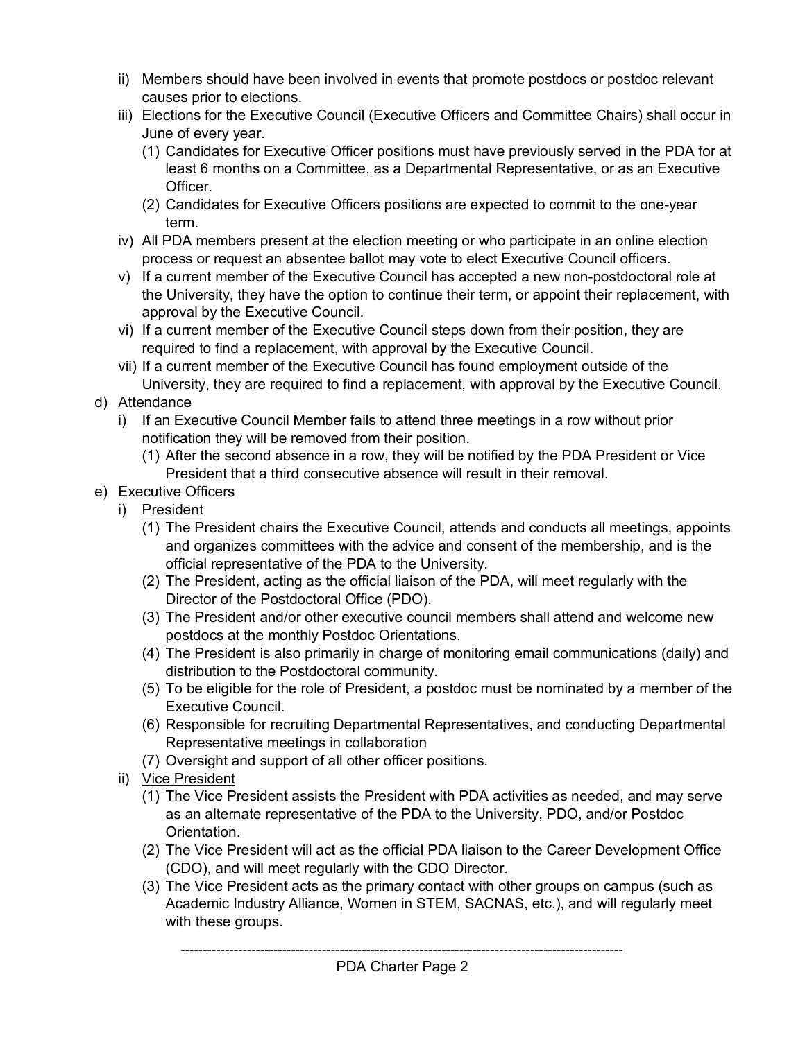- ii) Members should have been involved in events that promote postdocs or postdoc relevant causes prior to elections.
- iii) Elections for the Executive Council (Executive Officers and Committee Chairs) shall occur in June of every year.
	- (1) Candidates for Executive Officer positions must have previously served in the PDA for at least 6 months on a Committee, as a Departmental Representative, or as an Executive Officer.
	- (2) Candidates for Executive Officers positions are expected to commit to the one-year term.
- iv) All PDA members present at the election meeting or who participate in an online election process or request an absentee ballot may vote to elect Executive Council officers.
- v) If a current member of the Executive Council has accepted a new non-postdoctoral role at the University, they have the option to continue their term, or appoint their replacement, with approval by the Executive Council.
- vi) If a current member of the Executive Council steps down from their position, they are required to find a replacement, with approval by the Executive Council.
- vii) If a current member of the Executive Council has found employment outside of the University, they are required to find a replacement, with approval by the Executive Council.
- d) Attendance
	- i) If an Executive Council Member fails to attend three meetings in a row without prior notification they will be removed from their position.
		- (1) After the second absence in a row, they will be notified by the PDA President or Vice President that a third consecutive absence will result in their removal.
- e) Executive Officers
	- i) President
		- (1) The President chairs the Executive Council, attends and conducts all meetings, appoints and organizes committees with the advice and consent of the membership, and is the official representative of the PDA to the University.
		- (2) The President, acting as the official liaison of the PDA, will meet regularly with the Director of the Postdoctoral Office (PDO).
		- (3) The President and/or other executive council members shall attend and welcome new postdocs at the monthly Postdoc Orientations.
		- (4) The President is also primarily in charge of monitoring email communications (daily) and distribution to the Postdoctoral community.
		- (5) To be eligible for the role of President, a postdoc must be nominated by a member of the Executive Council.
		- (6) Responsible for recruiting Departmental Representatives, and conducting Departmental Representative meetings in collaboration
		- (7) Oversight and support of all other officer positions.
	- ii) Vice President
		- (1) The Vice President assists the President with PDA activities as needed, and may serve as an alternate representative of the PDA to the University, PDO, and/or Postdoc Orientation.
		- (2) The Vice President will act as the official PDA liaison to the Career Development Office (CDO), and will meet regularly with the CDO Director.
		- (3) The Vice President acts as the primary contact with other groups on campus (such as Academic Industry Alliance, Women in STEM, SACNAS, etc.), and will regularly meet with these groups.

----------------------------------------------------------------------------------------------------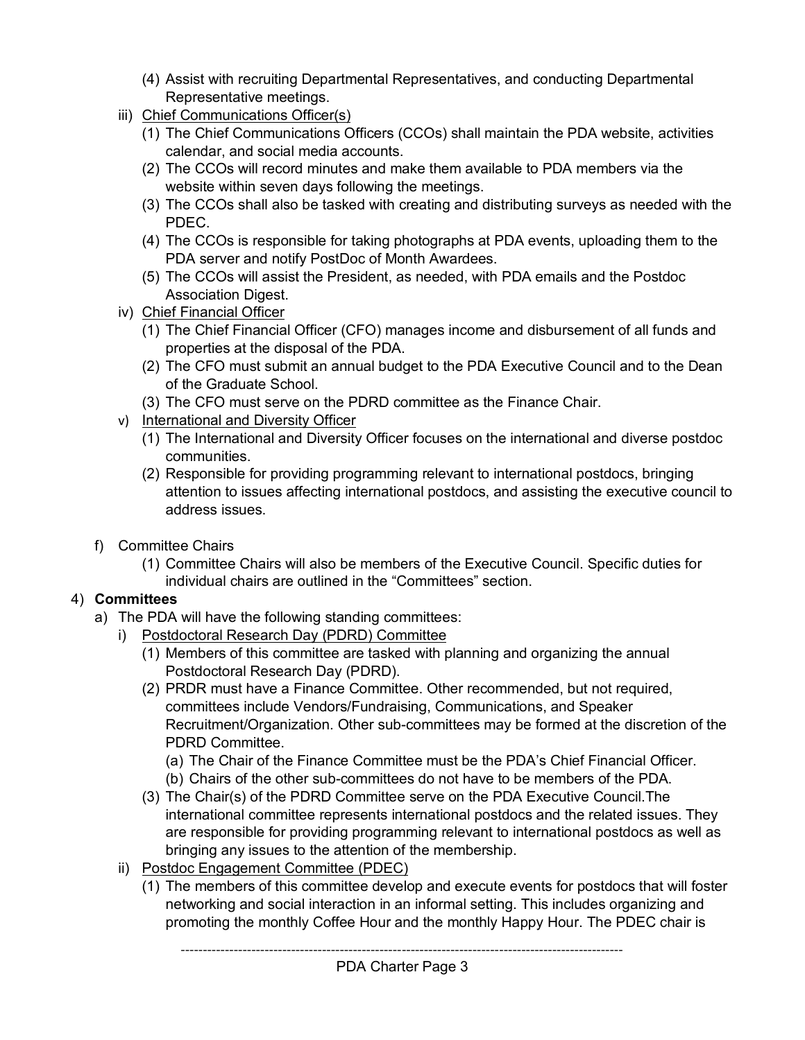- (4) Assist with recruiting Departmental Representatives, and conducting Departmental Representative meetings.
- iii) Chief Communications Officer(s)
	- (1) The Chief Communications Officers (CCOs) shall maintain the PDA website, activities calendar, and social media accounts.
	- (2) The CCOs will record minutes and make them available to PDA members via the website within seven days following the meetings.
	- (3) The CCOs shall also be tasked with creating and distributing surveys as needed with the PDEC.
	- (4) The CCOs is responsible for taking photographs at PDA events, uploading them to the PDA server and notify PostDoc of Month Awardees.
	- (5) The CCOs will assist the President, as needed, with PDA emails and the Postdoc Association Digest.
- iv) Chief Financial Officer
	- (1) The Chief Financial Officer (CFO) manages income and disbursement of all funds and properties at the disposal of the PDA.
	- (2) The CFO must submit an annual budget to the PDA Executive Council and to the Dean of the Graduate School.
	- (3) The CFO must serve on the PDRD committee as the Finance Chair.
- v) International and Diversity Officer
	- (1) The International and Diversity Officer focuses on the international and diverse postdoc communities.
	- (2) Responsible for providing programming relevant to international postdocs, bringing attention to issues affecting international postdocs, and assisting the executive council to address issues.
- f) Committee Chairs
	- (1) Committee Chairs will also be members of the Executive Council. Specific duties for individual chairs are outlined in the "Committees" section.

### 4) **Committees**

- a) The PDA will have the following standing committees:
	- i) Postdoctoral Research Day (PDRD) Committee
		- (1) Members of this committee are tasked with planning and organizing the annual Postdoctoral Research Day (PDRD).
		- (2) PRDR must have a Finance Committee. Other recommended, but not required, committees include Vendors/Fundraising, Communications, and Speaker Recruitment/Organization. Other sub-committees may be formed at the discretion of the PDRD Committee.

(a) The Chair of the Finance Committee must be the PDA's Chief Financial Officer.

- (b) Chairs of the other sub-committees do not have to be members of the PDA.
- (3) The Chair(s) of the PDRD Committee serve on the PDA Executive Council.The international committee represents international postdocs and the related issues. They are responsible for providing programming relevant to international postdocs as well as bringing any issues to the attention of the membership.
- ii) Postdoc Engagement Committee (PDEC)
	- (1) The members of this committee develop and execute events for postdocs that will foster networking and social interaction in an informal setting. This includes organizing and promoting the monthly Coffee Hour and the monthly Happy Hour. The PDEC chair is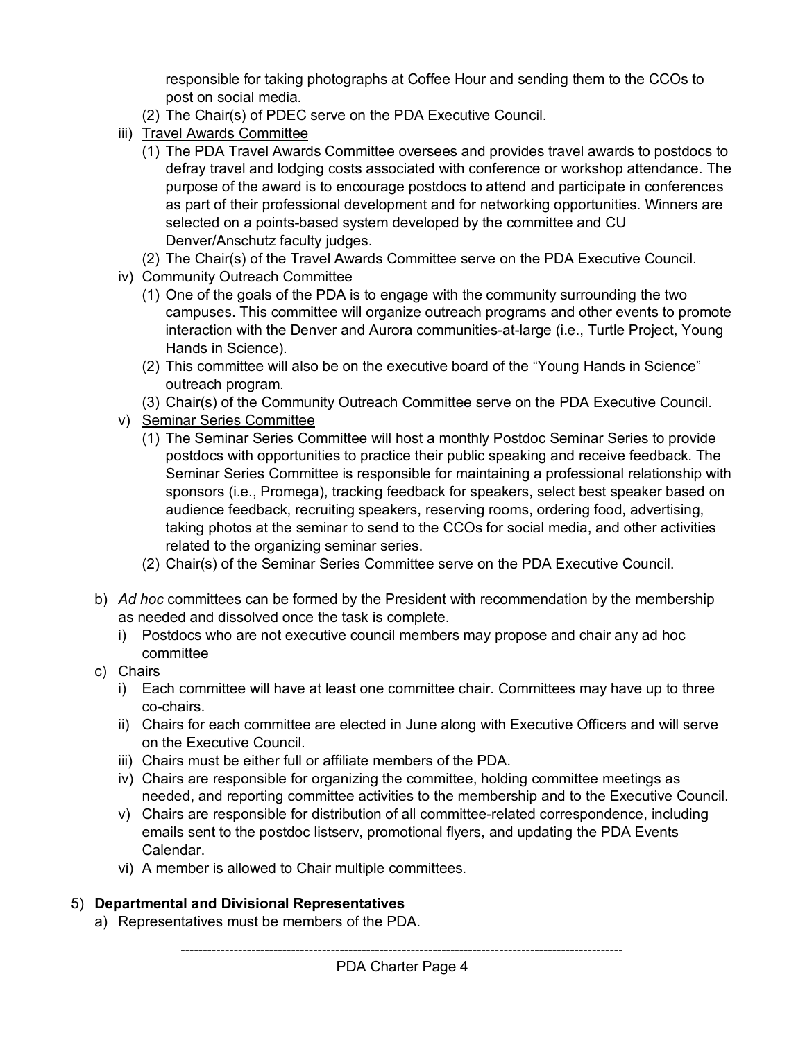responsible for taking photographs at Coffee Hour and sending them to the CCOs to post on social media.

- (2) The Chair(s) of PDEC serve on the PDA Executive Council.
- iii) Travel Awards Committee
	- (1) The PDA Travel Awards Committee oversees and provides travel awards to postdocs to defray travel and lodging costs associated with conference or workshop attendance. The purpose of the award is to encourage postdocs to attend and participate in conferences as part of their professional development and for networking opportunities. Winners are selected on a points-based system developed by the committee and CU Denver/Anschutz faculty judges.
- (2) The Chair(s) of the Travel Awards Committee serve on the PDA Executive Council.
- iv) Community Outreach Committee
	- (1) One of the goals of the PDA is to engage with the community surrounding the two campuses. This committee will organize outreach programs and other events to promote interaction with the Denver and Aurora communities-at-large (i.e., Turtle Project, Young Hands in Science).
	- (2) This committee will also be on the executive board of the "Young Hands in Science" outreach program.
	- (3) Chair(s) of the Community Outreach Committee serve on the PDA Executive Council.
- v) Seminar Series Committee
	- (1) The Seminar Series Committee will host a monthly Postdoc Seminar Series to provide postdocs with opportunities to practice their public speaking and receive feedback. The Seminar Series Committee is responsible for maintaining a professional relationship with sponsors (i.e., Promega), tracking feedback for speakers, select best speaker based on audience feedback, recruiting speakers, reserving rooms, ordering food, advertising, taking photos at the seminar to send to the CCOs for social media, and other activities related to the organizing seminar series.
	- (2) Chair(s) of the Seminar Series Committee serve on the PDA Executive Council.
- b) *Ad hoc* committees can be formed by the President with recommendation by the membership as needed and dissolved once the task is complete.
	- i) Postdocs who are not executive council members may propose and chair any ad hoc committee
- c) Chairs
	- i) Each committee will have at least one committee chair. Committees may have up to three co-chairs.
	- ii) Chairs for each committee are elected in June along with Executive Officers and will serve on the Executive Council.
	- iii) Chairs must be either full or affiliate members of the PDA.
	- iv) Chairs are responsible for organizing the committee, holding committee meetings as needed, and reporting committee activities to the membership and to the Executive Council.
	- v) Chairs are responsible for distribution of all committee-related correspondence, including emails sent to the postdoc listserv, promotional flyers, and updating the PDA Events Calendar.
	- vi) A member is allowed to Chair multiple committees.

#### 5) **Departmental and Divisional Representatives**

a) Representatives must be members of the PDA.

----------------------------------------------------------------------------------------------------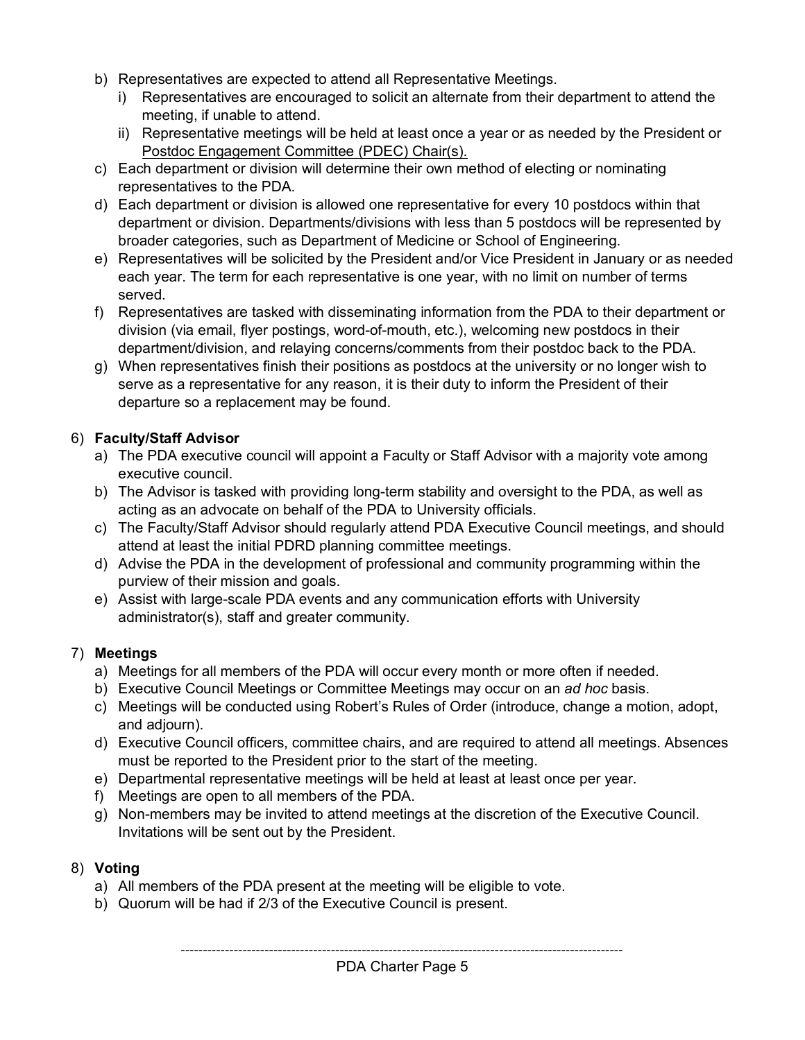- b) Representatives are expected to attend all Representative Meetings.
	- i) Representatives are encouraged to solicit an alternate from their department to attend the meeting, if unable to attend.
	- ii) Representative meetings will be held at least once a year or as needed by the President or Postdoc Engagement Committee (PDEC) Chair(s).
- c) Each department or division will determine their own method of electing or nominating representatives to the PDA.
- d) Each department or division is allowed one representative for every 10 postdocs within that department or division. Departments/divisions with less than 5 postdocs will be represented by broader categories, such as Department of Medicine or School of Engineering.
- e) Representatives will be solicited by the President and/or Vice President in January or as needed each year. The term for each representative is one year, with no limit on number of terms served.
- f) Representatives are tasked with disseminating information from the PDA to their department or division (via email, flyer postings, word-of-mouth, etc.), welcoming new postdocs in their department/division, and relaying concerns/comments from their postdoc back to the PDA.
- g) When representatives finish their positions as postdocs at the university or no longer wish to serve as a representative for any reason, it is their duty to inform the President of their departure so a replacement may be found.

#### 6) **Faculty/Staff Advisor**

- a) The PDA executive council will appoint a Faculty or Staff Advisor with a majority vote among executive council.
- b) The Advisor is tasked with providing long-term stability and oversight to the PDA, as well as acting as an advocate on behalf of the PDA to University officials.
- c) The Faculty/Staff Advisor should regularly attend PDA Executive Council meetings, and should attend at least the initial PDRD planning committee meetings.
- d) Advise the PDA in the development of professional and community programming within the purview of their mission and goals.
- e) Assist with large-scale PDA events and any communication efforts with University administrator(s), staff and greater community.

#### 7) **Meetings**

- a) Meetings for all members of the PDA will occur every month or more often if needed.
- b) Executive Council Meetings or Committee Meetings may occur on an *ad hoc* basis.
- c) Meetings will be conducted using Robert's Rules of Order (introduce, change a motion, adopt, and adjourn).
- d) Executive Council officers, committee chairs, and are required to attend all meetings. Absences must be reported to the President prior to the start of the meeting.
- e) Departmental representative meetings will be held at least at least once per year.
- f) Meetings are open to all members of the PDA.
- g) Non-members may be invited to attend meetings at the discretion of the Executive Council. Invitations will be sent out by the President.

#### 8) **Voting**

- a) All members of the PDA present at the meeting will be eligible to vote.
- b) Quorum will be had if 2/3 of the Executive Council is present.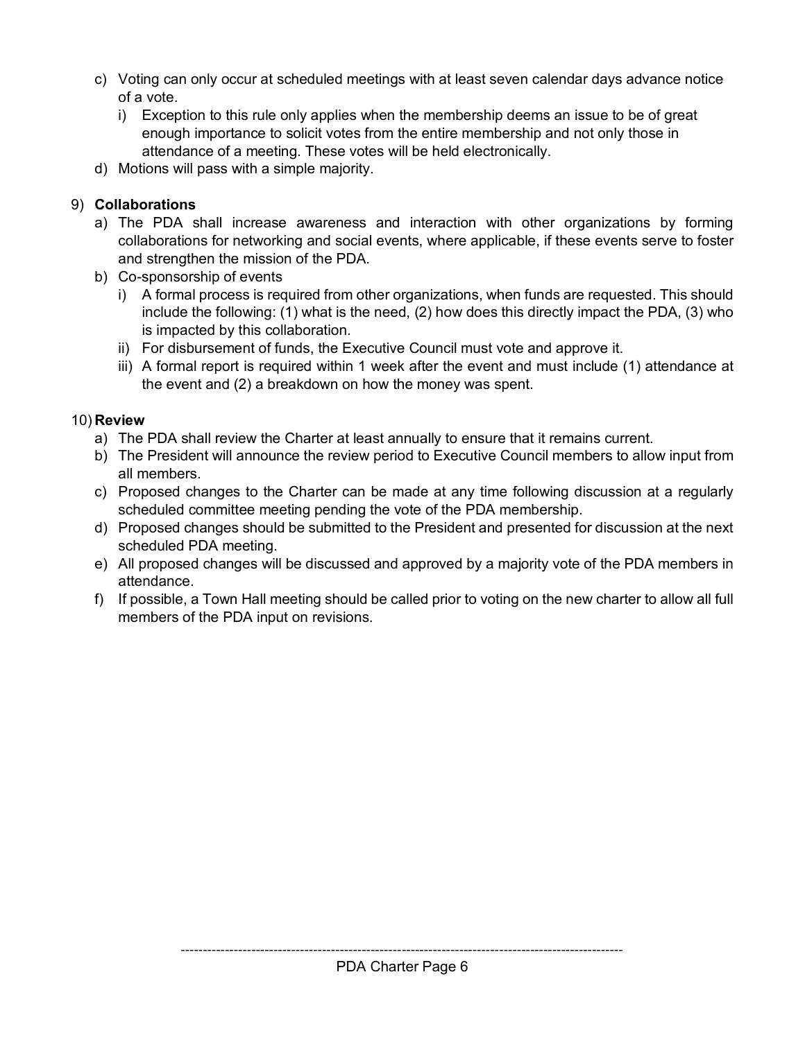- c) Voting can only occur at scheduled meetings with at least seven calendar days advance notice of a vote.
	- i) Exception to this rule only applies when the membership deems an issue to be of great enough importance to solicit votes from the entire membership and not only those in attendance of a meeting. These votes will be held electronically.
- d) Motions will pass with a simple majority.

## 9) **Collaborations**

- a) The PDA shall increase awareness and interaction with other organizations by forming collaborations for networking and social events, where applicable, if these events serve to foster and strengthen the mission of the PDA.
- b) Co-sponsorship of events
	- i) A formal process is required from other organizations, when funds are requested. This should include the following: (1) what is the need, (2) how does this directly impact the PDA, (3) who is impacted by this collaboration.
	- ii) For disbursement of funds, the Executive Council must vote and approve it.
	- iii) A formal report is required within 1 week after the event and must include (1) attendance at the event and (2) a breakdown on how the money was spent.

### 10) **Review**

- a) The PDA shall review the Charter at least annually to ensure that it remains current.
- b) The President will announce the review period to Executive Council members to allow input from all members.
- c) Proposed changes to the Charter can be made at any time following discussion at a regularly scheduled committee meeting pending the vote of the PDA membership.
- d) Proposed changes should be submitted to the President and presented for discussion at the next scheduled PDA meeting.
- e) All proposed changes will be discussed and approved by a majority vote of the PDA members in attendance.
- f) If possible, a Town Hall meeting should be called prior to voting on the new charter to allow all full members of the PDA input on revisions.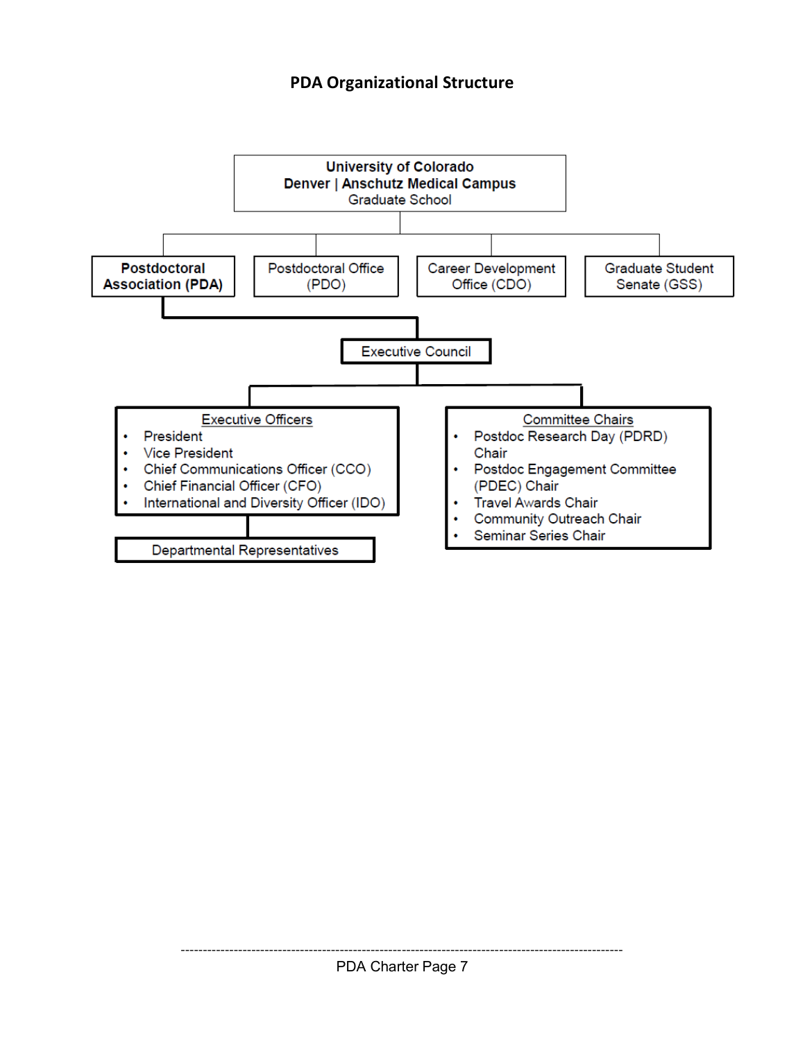## **PDA Organizational Structure**